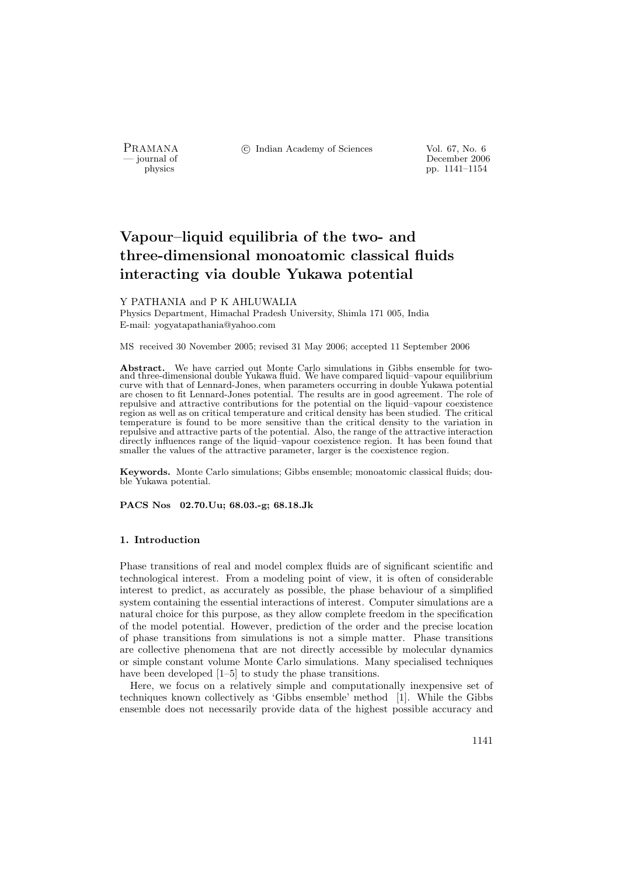PRAMANA <sup>C</sup> Indian Academy of Sciences Vol. 67, No. 6<br>
— iournal of December 2006

physics<br>
and the physics<br>  $\frac{1141-1154}{p}$ pp. 1141–1154

# Vapour–liquid equilibria of the two- and three-dimensional monoatomic classical fluids interacting via double Yukawa potential

# Y PATHANIA and P K AHLUWALIA

Physics Department, Himachal Pradesh University, Shimla 171 005, India E-mail: yogyatapathania@yahoo.com

MS received 30 November 2005; revised 31 May 2006; accepted 11 September 2006

Abstract. We have carried out Monte Carlo simulations in Gibbs ensemble for two-and three-dimensional double Yukawa fluid. We have compared liquid–vapour equilibrium curve with that of Lennard-Jones, when parameters occurring in double Yukawa potential are chosen to fit Lennard-Jones potential. The results are in good agreement. The role of repulsive and attractive contributions for the potential on the liquid–vapour coexistence region as well as on critical temperature and critical density has been studied. The critical temperature is found to be more sensitive than the critical density to the variation in repulsive and attractive parts of the potential. Also, the range of the attractive interaction directly influences range of the liquid–vapour coexistence region. It has been found that smaller the values of the attractive parameter, larger is the coexistence region.

Keywords. Monte Carlo simulations; Gibbs ensemble; monoatomic classical fluids; double Yukawa potential.

PACS Nos 02.70.Uu; 68.03.-g; 68.18.Jk

# 1. Introduction

Phase transitions of real and model complex fluids are of significant scientific and technological interest. From a modeling point of view, it is often of considerable interest to predict, as accurately as possible, the phase behaviour of a simplified system containing the essential interactions of interest. Computer simulations are a natural choice for this purpose, as they allow complete freedom in the specification of the model potential. However, prediction of the order and the precise location of phase transitions from simulations is not a simple matter. Phase transitions are collective phenomena that are not directly accessible by molecular dynamics or simple constant volume Monte Carlo simulations. Many specialised techniques have been developed [1–5] to study the phase transitions.

Here, we focus on a relatively simple and computationally inexpensive set of techniques known collectively as 'Gibbs ensemble' method [1]. While the Gibbs ensemble does not necessarily provide data of the highest possible accuracy and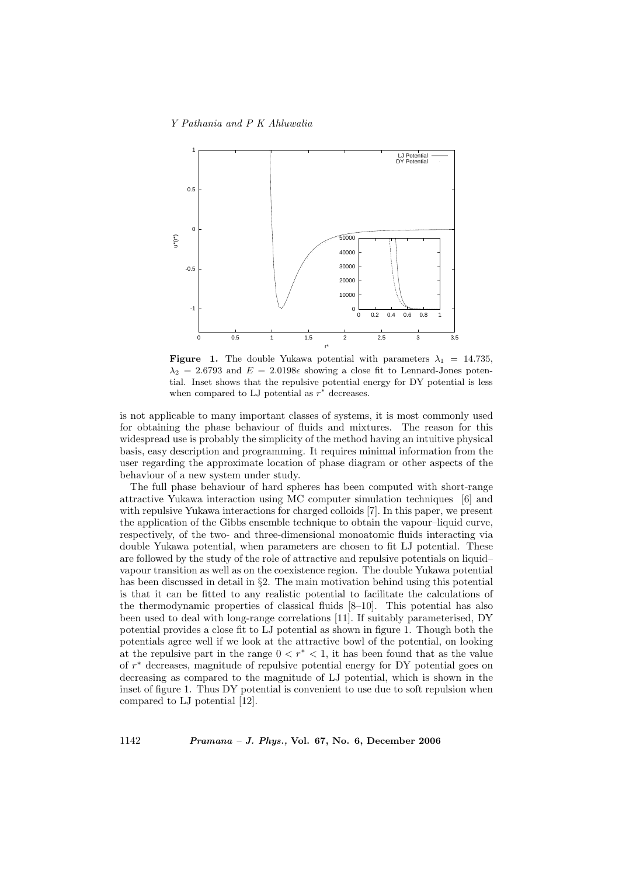

**Figure 1.** The double Yukawa potential with parameters  $\lambda_1 = 14.735$ ,  $\lambda_2 = 2.6793$  and  $E = 2.0198\epsilon$  showing a close fit to Lennard-Jones potential. Inset shows that the repulsive potential energy for DY potential is less when compared to LJ potential as  $r^*$  decreases.

is not applicable to many important classes of systems, it is most commonly used for obtaining the phase behaviour of fluids and mixtures. The reason for this widespread use is probably the simplicity of the method having an intuitive physical basis, easy description and programming. It requires minimal information from the user regarding the approximate location of phase diagram or other aspects of the behaviour of a new system under study.

The full phase behaviour of hard spheres has been computed with short-range attractive Yukawa interaction using MC computer simulation techniques [6] and with repulsive Yukawa interactions for charged colloids [7]. In this paper, we present the application of the Gibbs ensemble technique to obtain the vapour–liquid curve, respectively, of the two- and three-dimensional monoatomic fluids interacting via double Yukawa potential, when parameters are chosen to fit LJ potential. These are followed by the study of the role of attractive and repulsive potentials on liquid– vapour transition as well as on the coexistence region. The double Yukawa potential has been discussed in detail in §2. The main motivation behind using this potential is that it can be fitted to any realistic potential to facilitate the calculations of the thermodynamic properties of classical fluids [8–10]. This potential has also been used to deal with long-range correlations [11]. If suitably parameterised, DY potential provides a close fit to LJ potential as shown in figure 1. Though both the potentials agree well if we look at the attractive bowl of the potential, on looking at the repulsive part in the range  $0 < r^* < 1$ , it has been found that as the value of r <sup>∗</sup> decreases, magnitude of repulsive potential energy for DY potential goes on decreasing as compared to the magnitude of LJ potential, which is shown in the inset of figure 1. Thus DY potential is convenient to use due to soft repulsion when compared to LJ potential [12].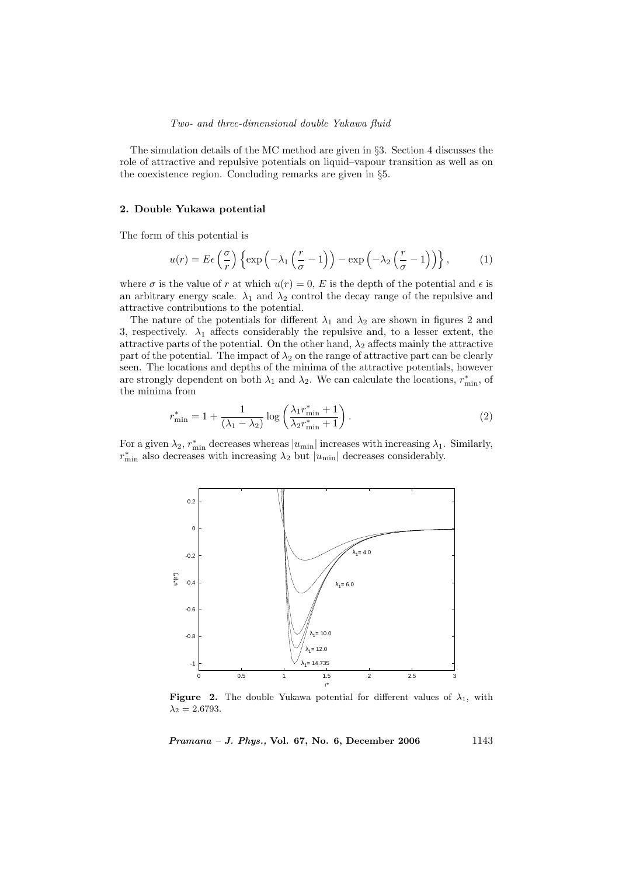The simulation details of the MC method are given in §3. Section 4 discusses the role of attractive and repulsive potentials on liquid–vapour transition as well as on the coexistence region. Concluding remarks are given in §5.

#### 2. Double Yukawa potential

The form of this potential is

$$
u(r) = E\epsilon \left(\frac{\sigma}{r}\right) \left\{ \exp\left(-\lambda_1 \left(\frac{r}{\sigma} - 1\right)\right) - \exp\left(-\lambda_2 \left(\frac{r}{\sigma} - 1\right)\right) \right\},\tag{1}
$$

where  $\sigma$  is the value of r at which  $u(r) = 0$ , E is the depth of the potential and  $\epsilon$  is an arbitrary energy scale.  $\lambda_1$  and  $\lambda_2$  control the decay range of the repulsive and attractive contributions to the potential.

The nature of the potentials for different  $\lambda_1$  and  $\lambda_2$  are shown in figures 2 and 3, respectively.  $\lambda_1$  affects considerably the repulsive and, to a lesser extent, the attractive parts of the potential. On the other hand,  $\lambda_2$  affects mainly the attractive part of the potential. The impact of  $\lambda_2$  on the range of attractive part can be clearly seen. The locations and depths of the minima of the attractive potentials, however are strongly dependent on both  $\lambda_1$  and  $\lambda_2$ . We can calculate the locations,  $r_{\min}^*$ , of the minima from

$$
r_{\min}^* = 1 + \frac{1}{\left(\lambda_1 - \lambda_2\right)} \log \left(\frac{\lambda_1 r_{\min}^* + 1}{\lambda_2 r_{\min}^* + 1}\right). \tag{2}
$$

For a given  $\lambda_2$ ,  $r_{\min}^*$  decreases whereas  $|u_{\min}|$  increases with increasing  $\lambda_1$ . Similarly,  $r_{\min}^*$  also decreases with increasing  $\lambda_2$  but  $|u_{\min}|$  decreases considerably.



Figure 2. The double Yukawa potential for different values of  $\lambda_1$ , with  $\lambda_2 = 2.6793$ .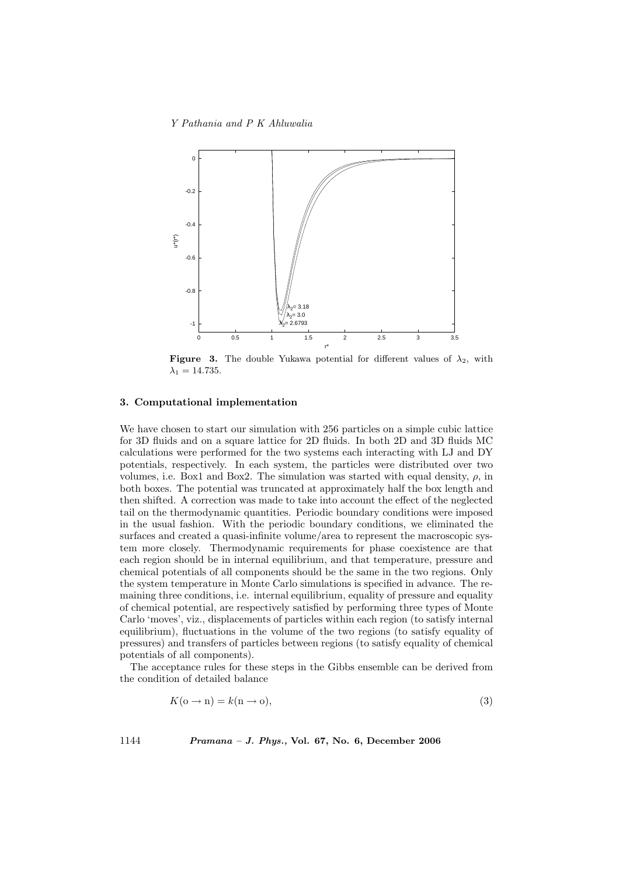Y Pathania and P K Ahluwalia



**Figure 3.** The double Yukawa potential for different values of  $\lambda_2$ , with  $\lambda_1 = 14.735$ .

## 3. Computational implementation

We have chosen to start our simulation with 256 particles on a simple cubic lattice for 3D fluids and on a square lattice for 2D fluids. In both 2D and 3D fluids MC calculations were performed for the two systems each interacting with LJ and DY potentials, respectively. In each system, the particles were distributed over two volumes, i.e. Box1 and Box2. The simulation was started with equal density,  $\rho$ , in both boxes. The potential was truncated at approximately half the box length and then shifted. A correction was made to take into account the effect of the neglected tail on the thermodynamic quantities. Periodic boundary conditions were imposed in the usual fashion. With the periodic boundary conditions, we eliminated the surfaces and created a quasi-infinite volume/area to represent the macroscopic system more closely. Thermodynamic requirements for phase coexistence are that each region should be in internal equilibrium, and that temperature, pressure and chemical potentials of all components should be the same in the two regions. Only the system temperature in Monte Carlo simulations is specified in advance. The remaining three conditions, i.e. internal equilibrium, equality of pressure and equality of chemical potential, are respectively satisfied by performing three types of Monte Carlo 'moves', viz., displacements of particles within each region (to satisfy internal equilibrium), fluctuations in the volume of the two regions (to satisfy equality of pressures) and transfers of particles between regions (to satisfy equality of chemical potentials of all components).

The acceptance rules for these steps in the Gibbs ensemble can be derived from the condition of detailed balance

$$
K(\mathbf{o} \to \mathbf{n}) = k(\mathbf{n} \to \mathbf{o}),\tag{3}
$$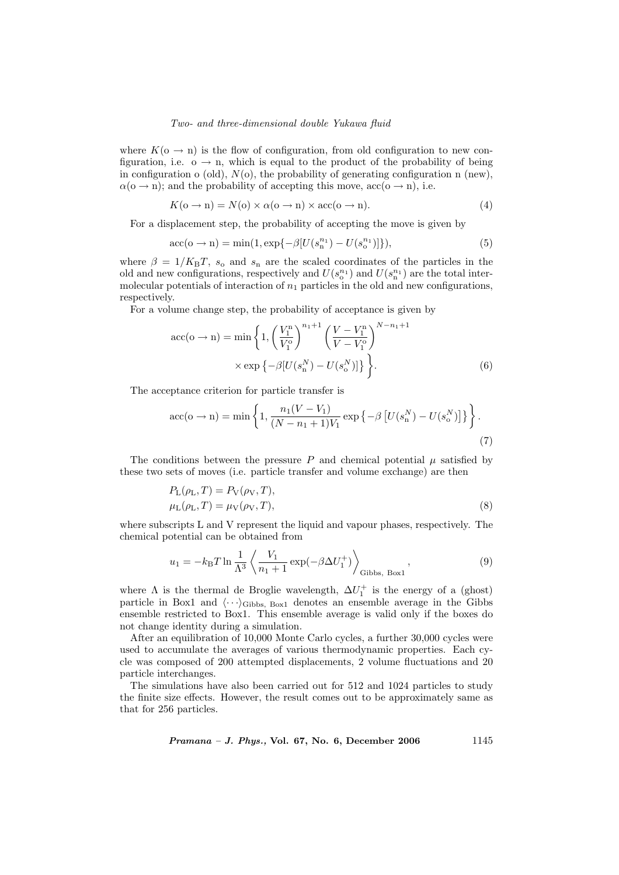where  $K(\sigma \to n)$  is the flow of configuration, from old configuration to new configuration, i.e.  $o \rightarrow n$ , which is equal to the product of the probability of being in configuration o (old),  $N(\rho)$ , the probability of generating configuration n (new),  $\alpha$ ( $\alpha \rightarrow n$ ); and the probability of accepting this move,  $\alpha$ c $(\alpha \rightarrow n)$ , i.e.

$$
K(\mathbf{o} \to \mathbf{n}) = N(\mathbf{o}) \times \alpha(\mathbf{o} \to \mathbf{n}) \times \text{acc}(\mathbf{o} \to \mathbf{n}).\tag{4}
$$

For a displacement step, the probability of accepting the move is given by

$$
\text{acc}(\mathbf{o} \to \mathbf{n}) = \min(1, \exp\{-\beta [U(s_n^{n_1}) - U(s_0^{n_1})]\}),\tag{5}
$$

where  $\beta = 1/K_B T$ ,  $s_o$  and  $s_n$  are the scaled coordinates of the particles in the old and new configurations, respectively and  $U(s_0^{n_1})$  and  $U(s_1^{n_1})$  are the total intermolecular potentials of interaction of  $n_1$  particles in the old and new configurations, respectively.

For a volume change step, the probability of acceptance is given by

$$
\text{acc}(o \to n) = \min\left\{1, \left(\frac{V_1^n}{V_1^o}\right)^{n_1+1} \left(\frac{V - V_1^n}{V - V_1^o}\right)^{N - n_1 + 1} \times \exp\left\{-\beta[U(s_n^N) - U(s_o^N)]\right\}\right\}.
$$
\n(6)

The acceptance criterion for particle transfer is

$$
\text{acc}(o \to n) = \min \left\{ 1, \frac{n_1(V - V_1)}{(N - n_1 + 1)V_1} \exp \left\{ -\beta \left[ U(s_n^N) - U(s_o^N) \right] \right\} \right\}.
$$
\n(7)

The conditions between the pressure  $P$  and chemical potential  $\mu$  satisfied by these two sets of moves (i.e. particle transfer and volume exchange) are then

$$
P_{\text{L}}(\rho_{\text{L}}, T) = P_{\text{V}}(\rho_{\text{V}}, T),
$$
  
\n
$$
\mu_{\text{L}}(\rho_{\text{L}}, T) = \mu_{\text{V}}(\rho_{\text{V}}, T),
$$
\n(8)

where subscripts L and V represent the liquid and vapour phases, respectively. The chemical potential can be obtained from

$$
u_1 = -k_{\rm B}T\ln\frac{1}{\Lambda^3} \left\langle \frac{V_1}{n_1+1} \exp(-\beta \Delta U_1^+) \right\rangle_{\text{Gibbs, Box1}},\tag{9}
$$

where  $\Lambda$  is the thermal de Broglie wavelength,  $\Delta U_1^+$  is the energy of a (ghost) particle in Box1 and  $\langle \cdots \rangle_{\text{Gibbs, Box1}}$  denotes an ensemble average in the Gibbs ensemble restricted to Box1. This ensemble average is valid only if the boxes do not change identity during a simulation.

After an equilibration of 10,000 Monte Carlo cycles, a further 30,000 cycles were used to accumulate the averages of various thermodynamic properties. Each cycle was composed of 200 attempted displacements, 2 volume fluctuations and 20 particle interchanges.

The simulations have also been carried out for 512 and 1024 particles to study the finite size effects. However, the result comes out to be approximately same as that for 256 particles.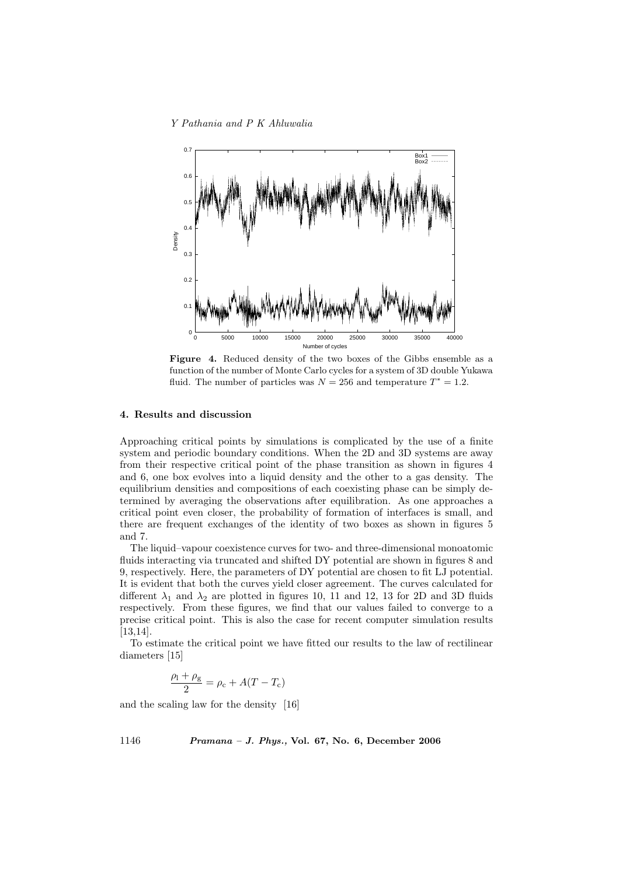

Figure 4. Reduced density of the two boxes of the Gibbs ensemble as a function of the number of Monte Carlo cycles for a system of 3D double Yukawa fluid. The number of particles was  $N = 256$  and temperature  $T^* = 1.2$ .

# 4. Results and discussion

Approaching critical points by simulations is complicated by the use of a finite system and periodic boundary conditions. When the 2D and 3D systems are away from their respective critical point of the phase transition as shown in figures 4 and 6, one box evolves into a liquid density and the other to a gas density. The equilibrium densities and compositions of each coexisting phase can be simply determined by averaging the observations after equilibration. As one approaches a critical point even closer, the probability of formation of interfaces is small, and there are frequent exchanges of the identity of two boxes as shown in figures 5 and 7.

The liquid–vapour coexistence curves for two- and three-dimensional monoatomic fluids interacting via truncated and shifted DY potential are shown in figures 8 and 9, respectively. Here, the parameters of DY potential are chosen to fit LJ potential. It is evident that both the curves yield closer agreement. The curves calculated for different  $\lambda_1$  and  $\lambda_2$  are plotted in figures 10, 11 and 12, 13 for 2D and 3D fluids respectively. From these figures, we find that our values failed to converge to a precise critical point. This is also the case for recent computer simulation results [13,14].

To estimate the critical point we have fitted our results to the law of rectilinear diameters [15]

$$
\frac{\rho_{\rm l}+\rho_{\rm g}}{2}=\rho_{\rm c}+A(T-T_{\rm c})
$$

and the scaling law for the density [16]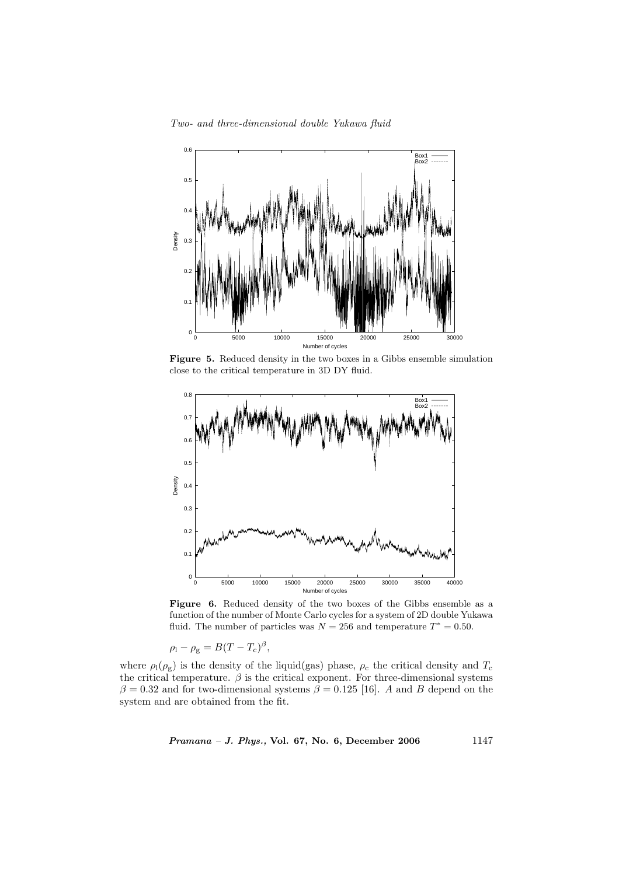

Figure 5. Reduced density in the two boxes in a Gibbs ensemble simulation close to the critical temperature in 3D DY fluid.



Figure 6. Reduced density of the two boxes of the Gibbs ensemble as a function of the number of Monte Carlo cycles for a system of 2D double Yukawa fluid. The number of particles was  $N = 256$  and temperature  $T^* = 0.50$ .

$$
\rho_{\rm l} - \rho_{\rm g} = B(T - T_{\rm c})^{\beta},
$$

where  $\rho_1(\rho_g)$  is the density of the liquid(gas) phase,  $\rho_c$  the critical density and  $T_c$ the critical temperature.  $\beta$  is the critical exponent. For three-dimensional systems  $\beta = 0.32$  and for two-dimensional systems  $\beta = 0.125$  [16]. A and B depend on the system and are obtained from the fit.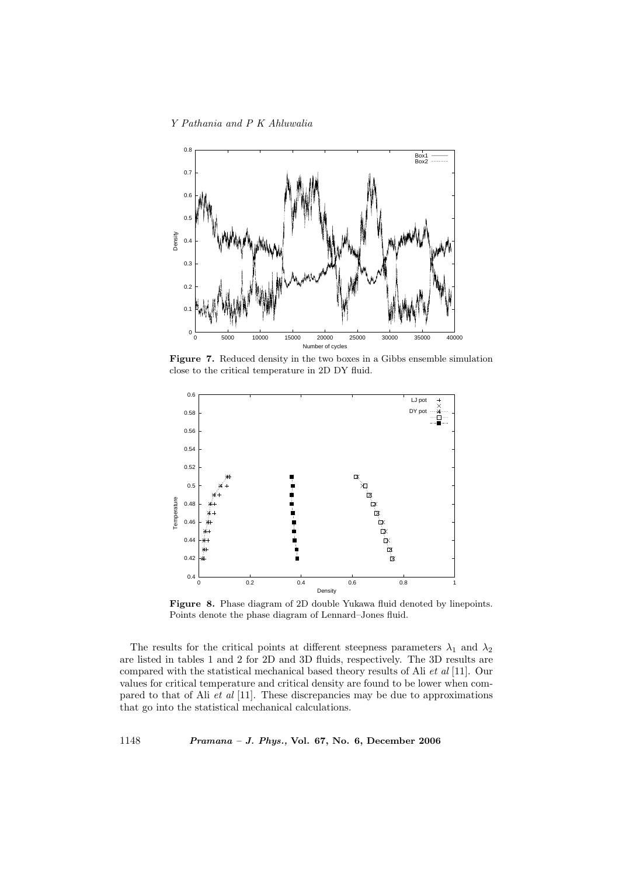

Figure 7. Reduced density in the two boxes in a Gibbs ensemble simulation close to the critical temperature in 2D DY fluid.



Figure 8. Phase diagram of 2D double Yukawa fluid denoted by linepoints. Points denote the phase diagram of Lennard–Jones fluid.

The results for the critical points at different steepness parameters  $\lambda_1$  and  $\lambda_2$ are listed in tables 1 and 2 for 2D and 3D fluids, respectively. The 3D results are compared with the statistical mechanical based theory results of Ali et al [11]. Our values for critical temperature and critical density are found to be lower when compared to that of Ali et al [11]. These discrepancies may be due to approximations that go into the statistical mechanical calculations.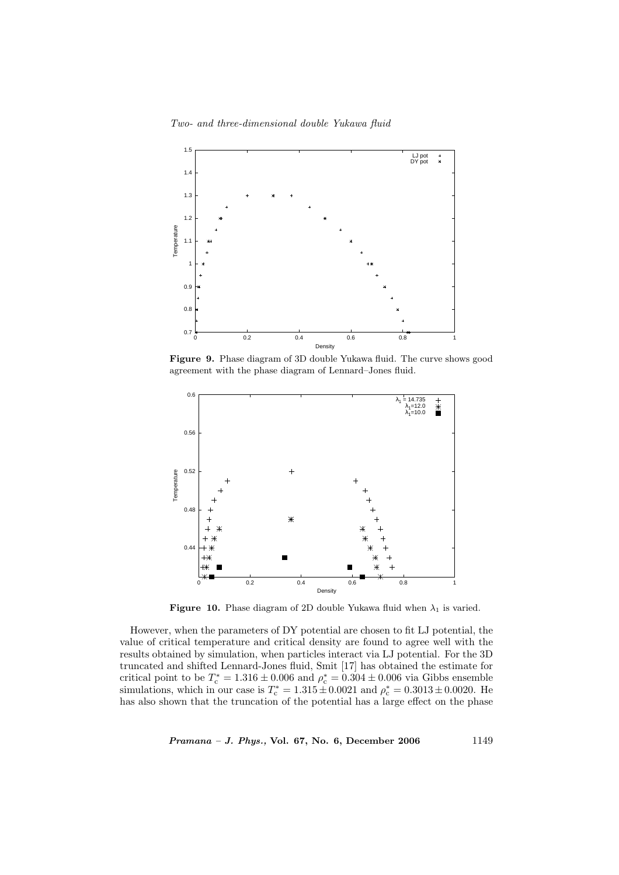Two- and three-dimensional double Yukawa fluid



Figure 9. Phase diagram of 3D double Yukawa fluid. The curve shows good agreement with the phase diagram of Lennard–Jones fluid.



Figure 10. Phase diagram of 2D double Yukawa fluid when  $\lambda_1$  is varied.

However, when the parameters of DY potential are chosen to fit LJ potential, the value of critical temperature and critical density are found to agree well with the results obtained by simulation, when particles interact via LJ potential. For the 3D truncated and shifted Lennard-Jones fluid, Smit [17] has obtained the estimate for critical point to be  $T_c^* = 1.316 \pm 0.006$  and  $\rho_c^* = 0.304 \pm 0.006$  via Gibbs ensemble simulations, which in our case is  $T_c^* = 1.315 \pm 0.0021$  and  $\rho_c^* = 0.3013 \pm 0.0020$ . He has also shown that the truncation of the potential has a large effect on the phase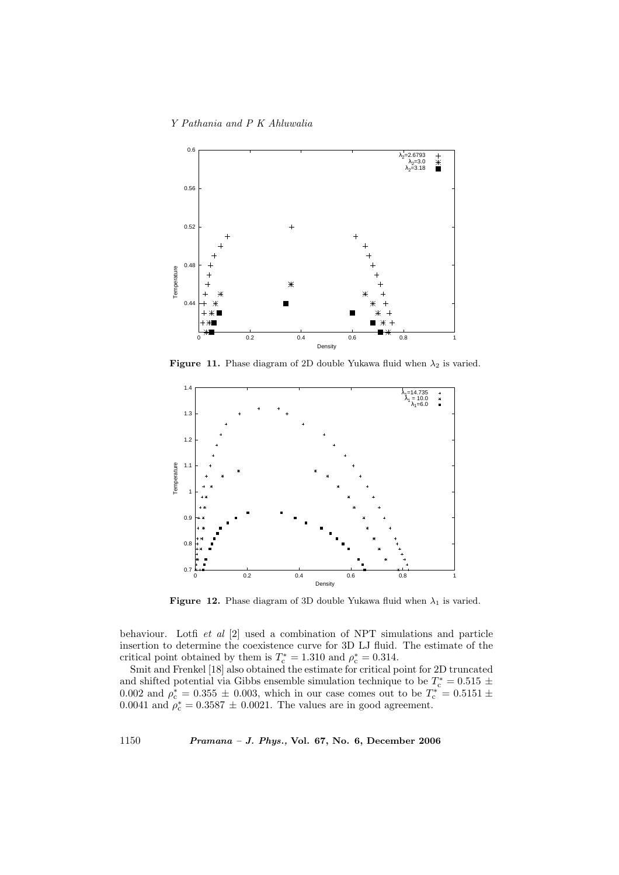

**Figure 11.** Phase diagram of 2D double Yukawa fluid when  $\lambda_2$  is varied.



Figure 12. Phase diagram of 3D double Yukawa fluid when  $\lambda_1$  is varied.

behaviour. Lotfi et al [2] used a combination of NPT simulations and particle insertion to determine the coexistence curve for 3D LJ fluid. The estimate of the critical point obtained by them is  $T_c^* = 1.310$  and  $\rho_c^* = 0.314$ .

Smit and Frenkel [18] also obtained the estimate for critical point for 2D truncated and shifted potential via Gibbs ensemble simulation technique to be  $T_c^* = 0.515 \pm 0.515$ 0.002 and  $\rho_c^* = 0.355 \pm 0.003$ , which in our case comes out to be  $T_c^* = 0.5151 \pm 0.002$ 0.0041 and  $\rho_c^* = 0.3587 \pm 0.0021$ . The values are in good agreement.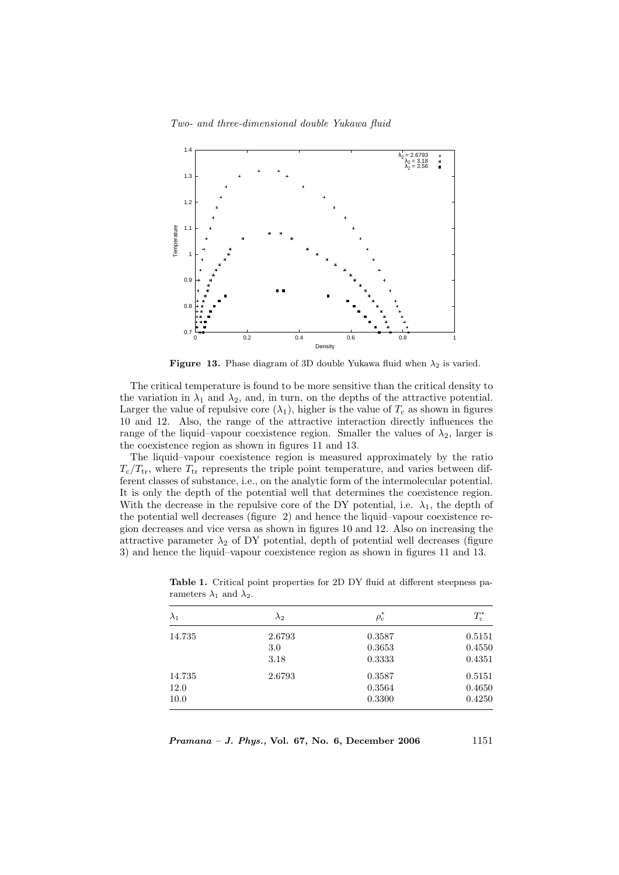

**Figure 13.** Phase diagram of 3D double Yukawa fluid when  $\lambda_2$  is varied.

The critical temperature is found to be more sensitive than the critical density to the variation in  $\lambda_1$  and  $\lambda_2$ , and, in turn, on the depths of the attractive potential. Larger the value of repulsive core  $(\lambda_1)$ , higher is the value of  $T_c$  as shown in figures 10 and 12. Also, the range of the attractive interaction directly influences the range of the liquid–vapour coexistence region. Smaller the values of  $\lambda_2$ , larger is the coexistence region as shown in figures 11 and 13.

The liquid–vapour coexistence region is measured approximately by the ratio  $T_c/T_{tr}$ , where  $T_{tr}$  represents the triple point temperature, and varies between different classes of substance, i.e., on the analytic form of the intermolecular potential. It is only the depth of the potential well that determines the coexistence region. With the decrease in the repulsive core of the DY potential, i.e.  $\lambda_1$ , the depth of the potential well decreases (figure 2) and hence the liquid–vapour coexistence region decreases and vice versa as shown in figures 10 and 12. Also on increasing the attractive parameter  $\lambda_2$  of DY potential, depth of potential well decreases (figure 3) and hence the liquid–vapour coexistence region as shown in figures 11 and 13.

| $\lambda_1$ | $\lambda_2$ | $\rho_{\rm c}^*$ | $T_{\rm c}^*$ |
|-------------|-------------|------------------|---------------|
| 14.735      | 2.6793      | 0.3587           | 0.5151        |
|             | 3.0         | 0.3653           | 0.4550        |
|             | 3.18        | 0.3333           | 0.4351        |
| 14.735      | 2.6793      | 0.3587           | 0.5151        |
| 12.0        |             | 0.3564           | 0.4650        |
| 10.0        |             | 0.3300           | 0.4250        |

Table 1. Critical point properties for 2D DY fluid at different steepness parameters  $\lambda_1$  and  $\lambda_2$ .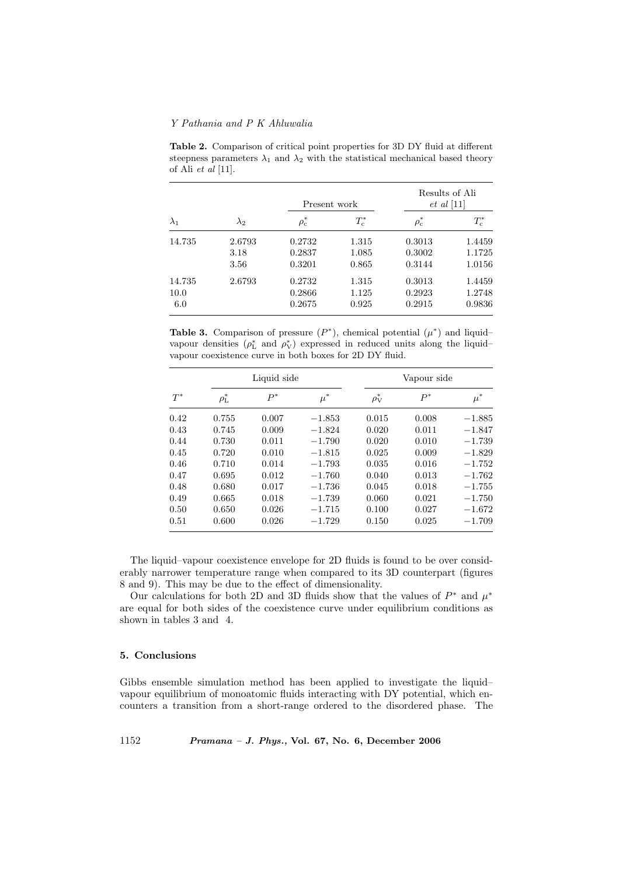Results of Ali Present work et al [11]  $\lambda_1$   $\lambda_2$   $\rho$  $\rho_c^*$  $r_{\rm c}^*$  and  $T_{\rm c}^*$  $\rho_c^*$   $\rho_c^*$  $T_{\rm c}^*$  and  $T_{\rm c}^*$ 14.735 2.6793 0.2732 1.315 0.3013 1.4459 3.18 0.2837 1.085 0.3002 1.1725 3.56 0.3201 0.865 0.3144 1.0156 14.735 2.6793 0.2732 1.315 0.3013 1.4459 10.0 0.2866 1.125 0.2923 1.2748 6.0 0.2675 0.925 0.2915 0.9836

Table 2. Comparison of critical point properties for 3D DY fluid at different steepness parameters  $\lambda_1$  and  $\lambda_2$  with the statistical mechanical based theory of Ali  $et$  al [11].

Table 3. Comparison of pressure  $(P^*)$ , chemical potential  $(\mu^*)$  and liquidvapour densities  $(\rho_L^*$  and  $\rho_V^*)$  expressed in reduced units along the liquidvapour coexistence curve in both boxes for 2D DY fluid.

| $T^*$ | Liquid side      |       |          | Vapour side      |       |          |
|-------|------------------|-------|----------|------------------|-------|----------|
|       | $\rho_{\rm L}^*$ | $P^*$ | $\mu^*$  | $\rho_{\rm V}^*$ | $P^*$ | $\mu^*$  |
| 0.42  | 0.755            | 0.007 | $-1.853$ | 0.015            | 0.008 | $-1.885$ |
| 0.43  | 0.745            | 0.009 | $-1.824$ | 0.020            | 0.011 | $-1.847$ |
| 0.44  | 0.730            | 0.011 | $-1.790$ | 0.020            | 0.010 | $-1.739$ |
| 0.45  | 0.720            | 0.010 | $-1.815$ | 0.025            | 0.009 | $-1.829$ |
| 0.46  | 0.710            | 0.014 | $-1.793$ | 0.035            | 0.016 | $-1.752$ |
| 0.47  | 0.695            | 0.012 | $-1.760$ | 0.040            | 0.013 | $-1.762$ |
| 0.48  | 0.680            | 0.017 | $-1.736$ | 0.045            | 0.018 | $-1.755$ |
| 0.49  | 0.665            | 0.018 | $-1.739$ | 0.060            | 0.021 | $-1.750$ |
| 0.50  | 0.650            | 0.026 | $-1.715$ | 0.100            | 0.027 | $-1.672$ |
| 0.51  | 0.600            | 0.026 | $-1.729$ | 0.150            | 0.025 | $-1.709$ |

The liquid–vapour coexistence envelope for 2D fluids is found to be over considerably narrower temperature range when compared to its 3D counterpart (figures 8 and 9). This may be due to the effect of dimensionality.

Our calculations for both 2D and 3D fluids show that the values of  $P^*$  and  $\mu^*$ are equal for both sides of the coexistence curve under equilibrium conditions as shown in tables 3 and 4.

#### 5. Conclusions

Gibbs ensemble simulation method has been applied to investigate the liquid– vapour equilibrium of monoatomic fluids interacting with DY potential, which encounters a transition from a short-range ordered to the disordered phase. The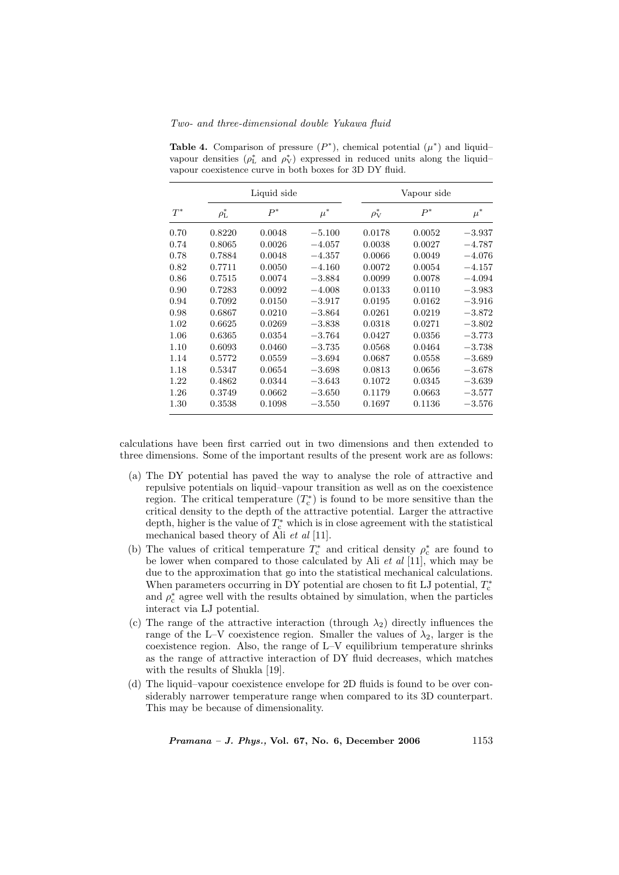Two- and three-dimensional double Yukawa fluid

| $T^*$ | Liquid side      |        |          | Vapour side      |        |          |
|-------|------------------|--------|----------|------------------|--------|----------|
|       | $\rho_{\rm L}^*$ | $P^*$  | $\mu^*$  | $\rho_{\rm V}^*$ | $P^*$  | $\mu^*$  |
| 0.70  | 0.8220           | 0.0048 | $-5.100$ | 0.0178           | 0.0052 | $-3.937$ |
| 0.74  | 0.8065           | 0.0026 | $-4.057$ | 0.0038           | 0.0027 | $-4.787$ |
| 0.78  | 0.7884           | 0.0048 | $-4.357$ | 0.0066           | 0.0049 | $-4.076$ |
| 0.82  | 0.7711           | 0.0050 | $-4.160$ | 0.0072           | 0.0054 | $-4.157$ |
| 0.86  | 0.7515           | 0.0074 | $-3.884$ | 0.0099           | 0.0078 | $-4.094$ |
| 0.90  | 0.7283           | 0.0092 | $-4.008$ | 0.0133           | 0.0110 | $-3.983$ |
| 0.94  | 0.7092           | 0.0150 | $-3.917$ | 0.0195           | 0.0162 | $-3.916$ |
| 0.98  | 0.6867           | 0.0210 | $-3.864$ | 0.0261           | 0.0219 | $-3.872$ |
| 1.02  | 0.6625           | 0.0269 | $-3.838$ | 0.0318           | 0.0271 | $-3.802$ |
| 1.06  | 0.6365           | 0.0354 | $-3.764$ | 0.0427           | 0.0356 | $-3.773$ |
| 1.10  | 0.6093           | 0.0460 | $-3.735$ | 0.0568           | 0.0464 | $-3.738$ |
| 1.14  | 0.5772           | 0.0559 | $-3.694$ | 0.0687           | 0.0558 | $-3.689$ |
| 1.18  | 0.5347           | 0.0654 | $-3.698$ | 0.0813           | 0.0656 | $-3.678$ |
| 1.22  | 0.4862           | 0.0344 | $-3.643$ | 0.1072           | 0.0345 | $-3.639$ |
| 1.26  | 0.3749           | 0.0662 | $-3.650$ | 0.1179           | 0.0663 | $-3.577$ |
| 1.30  | 0.3538           | 0.1098 | $-3.550$ | 0.1697           | 0.1136 | $-3.576$ |

Table 4. Comparison of pressure  $(P^*)$ , chemical potential  $(\mu^*)$  and liquidvapour densities  $(\rho_L^*$  and  $\rho_V^*)$  expressed in reduced units along the liquidvapour coexistence curve in both boxes for 3D DY fluid.

calculations have been first carried out in two dimensions and then extended to three dimensions. Some of the important results of the present work are as follows:

- (a) The DY potential has paved the way to analyse the role of attractive and repulsive potentials on liquid–vapour transition as well as on the coexistence region. The critical temperature  $(T_c^*)$  is found to be more sensitive than the critical density to the depth of the attractive potential. Larger the attractive depth, higher is the value of  $T_c^*$  which is in close agreement with the statistical mechanical based theory of Ali et al [11].
- (b) The values of critical temperature  $T_c^*$  and critical density  $\rho_c^*$  are found to be lower when compared to those calculated by Ali et al [11], which may be due to the approximation that go into the statistical mechanical calculations. When parameters occurring in DY potential are chosen to fit LJ potential,  $T_{\rm c}^*$ and  $\rho_c^*$  agree well with the results obtained by simulation, when the particles interact via LJ potential.
- (c) The range of the attractive interaction (through  $\lambda_2$ ) directly influences the range of the L–V coexistence region. Smaller the values of  $\lambda_2$ , larger is the coexistence region. Also, the range of L–V equilibrium temperature shrinks as the range of attractive interaction of DY fluid decreases, which matches with the results of Shukla [19].
- (d) The liquid–vapour coexistence envelope for 2D fluids is found to be over considerably narrower temperature range when compared to its 3D counterpart. This may be because of dimensionality.